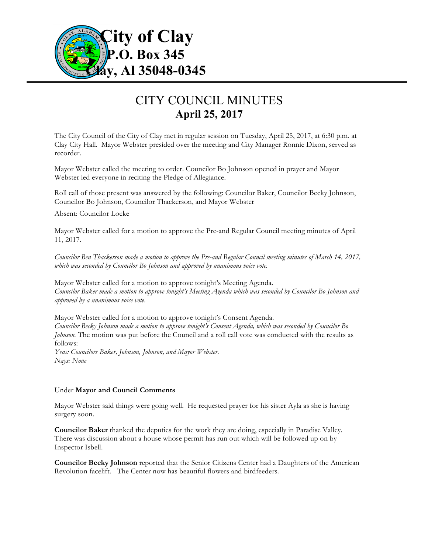

# CITY COUNCIL MINUTES **April 25, 2017**

The City Council of the City of Clay met in regular session on Tuesday, April 25, 2017, at 6:30 p.m. at Clay City Hall. Mayor Webster presided over the meeting and City Manager Ronnie Dixon, served as recorder.

Mayor Webster called the meeting to order. Councilor Bo Johnson opened in prayer and Mayor Webster led everyone in reciting the Pledge of Allegiance.

Roll call of those present was answered by the following: Councilor Baker, Councilor Becky Johnson, Councilor Bo Johnson, Councilor Thackerson, and Mayor Webster

Absent: Councilor Locke

Mayor Webster called for a motion to approve the Pre-and Regular Council meeting minutes of April 11, 2017.

*Councilor Ben Thackerson made a motion to approve the Pre-and Regular Council meeting minutes of March 14, 2017, which was seconded by Councilor Bo Johnson and approved by unanimous voice vote.*

Mayor Webster called for a motion to approve tonight's Meeting Agenda. *Councilor Baker made a motion to approve tonight's Meeting Agenda which was seconded by Councilor Bo Johnson and approved by a unanimous voice vote.*

Mayor Webster called for a motion to approve tonight's Consent Agenda. *Councilor Becky Johnson made a motion to approve tonight's Consent Agenda, which was seconded by Councilor Bo Johnson*. The motion was put before the Council and a roll call vote was conducted with the results as follows: *Yeas: Councilors Baker, Johnson, Johnson, and Mayor Webster.*

Under **Mayor and Council Comments**

*Nays: None*

Mayor Webster said things were going well. He requested prayer for his sister Ayla as she is having surgery soon.

**Councilor Baker** thanked the deputies for the work they are doing, especially in Paradise Valley. There was discussion about a house whose permit has run out which will be followed up on by Inspector Isbell.

**Councilor Becky Johnson** reported that the Senior Citizens Center had a Daughters of the American Revolution facelift. The Center now has beautiful flowers and birdfeeders.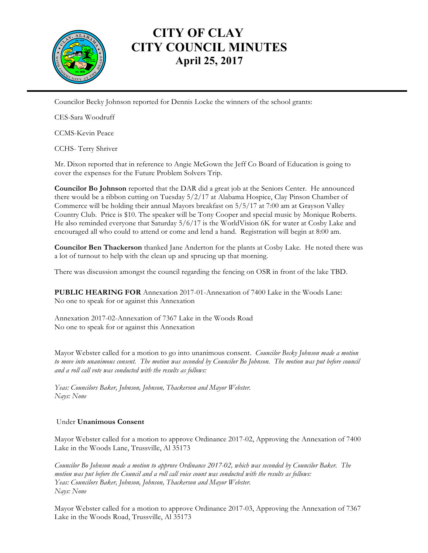

### **CITY OF CLAY CITY COUNCIL MINUTES April 25, 2017**

Councilor Becky Johnson reported for Dennis Locke the winners of the school grants:

CES-Sara Woodruff

CCMS-Kevin Peace

CCHS- Terry Shriver

Mr. Dixon reported that in reference to Angie McGown the Jeff Co Board of Education is going to cover the expenses for the Future Problem Solvers Trip.

**Councilor Bo Johnson** reported that the DAR did a great job at the Seniors Center. He announced there would be a ribbon cutting on Tuesday 5/2/17 at Alabama Hospice, Clay Pinson Chamber of Commerce will be holding their annual Mayors breakfast on 5/5/17 at 7:00 am at Grayson Valley Country Club. Price is \$10. The speaker will be Tony Cooper and special music by Monique Roberts. He also reminded everyone that Saturday 5/6/17 is the WorldVision 6K for water at Cosby Lake and encouraged all who could to attend or come and lend a hand. Registration will begin at 8:00 am.

**Councilor Ben Thackerson** thanked Jane Anderton for the plants at Cosby Lake. He noted there was a lot of turnout to help with the clean up and sprucing up that morning.

There was discussion amongst the council regarding the fencing on OSR in front of the lake TBD.

**PUBLIC HEARING FOR** Annexation 2017-01-Annexation of 7400 Lake in the Woods Lane: No one to speak for or against this Annexation

Annexation 2017-02-Annexation of 7367 Lake in the Woods Road No one to speak for or against this Annexation

Mayor Webster called for a motion to go into unanimous consent. *Councilor Becky Johnson made a motion*  to move into unanimous consent. The motion was seconded by Councilor Bo Johnson. The motion was put before council *and a roll call vote was conducted with the results as follows:*

*Yeas: Councilors Baker, Johnson, Johnson, Thackerson and Mayor Webster. Nays: None*

### Under **Unanimous Consent**

Mayor Webster called for a motion to approve Ordinance 2017-02, Approving the Annexation of 7400 Lake in the Woods Lane, Trussville, Al 35173

*Councilor Bo Johnson made a motion to approve Ordinance 2017-02, which was seconded by Councilor Baker. The motion was put before the Council and a roll call voice count was conducted with the results as follows: Yeas: Councilors Baker, Johnson, Johnson, Thackerson and Mayor Webster. Nays: None*

Mayor Webster called for a motion to approve Ordinance 2017-03, Approving the Annexation of 7367 Lake in the Woods Road, Trussville, Al 35173